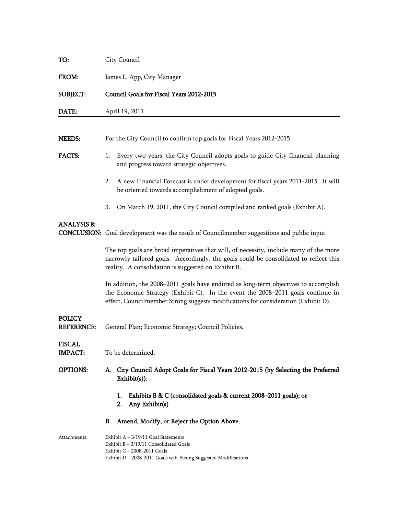| TO: | City Council |
|-----|--------------|
|     |              |

FROM: James L. App, City Manager

#### SUBJECT: Council Goals for Fiscal Years 2012-2015

DATE: April 19, 2011

NEEDS: For the City Council to confirm top goals for Fiscal Years 2012-2015.

- FACTS: 1. Every two years, the City Council adopts goals to guide City financial planning and progress toward strategic objectives.
	- 2. A new Financial Forecast is under development for fiscal years 2011-2015. It will be oriented towards accomplishment of adopted goals.
	- 3. On March 19, 2011, the City Council compiled and ranked goals (Exhibit A).

#### ANALYSIS &

CONCLUSION: Goal development was the result of Councilmember suggestions and public input.

The top goals are broad imperatives that will, of necessity, include many of the more narrowly tailored goals. Accordingly, the goals could be consolidated to reflect this reality. A consolidation is suggested on Exhibit B.

In addition, the 2008–2011 goals have endured as long-term objectives to accomplish the Economic Strategy (Exhibit C). In the event the 2008–2011 goals continue in effect, Councilmember Strong suggests modifications for consideration (Exhibit D).

#### **POLICY**

REFERENCE: General Plan; Economic Strategy; Council Policies.

#### **FISCAL**

IMPACT: To be determined.

OPTIONS: A. City Council Adopt Goals for Fiscal Years 2012-2015 (by Selecting the Preferred Exhibit(s)):

- 1. Exhibits B & C (consolidated goals & current 2008–2011 goals); or
- 2. Any Exhibit(s)

#### B. Amend, Modify, or Reject the Option Above.

Attachments: Exhibit A – 3/19/11 Goal Statements Exhibit B – 3/19/11 Consolidated Goals Exhibit C – 2008-2011 Goals Exhibit D – 2008-2011 Goals w/F. Strong Suggested Modifications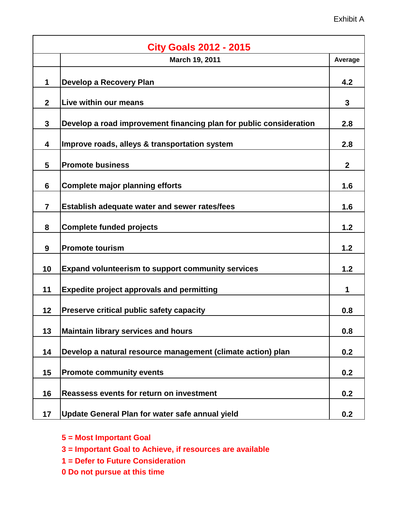| <b>City Goals 2012 - 2015</b> |                                                                    |              |
|-------------------------------|--------------------------------------------------------------------|--------------|
|                               | March 19, 2011                                                     | Average      |
| 1                             | Develop a Recovery Plan                                            | 4.2          |
| $\mathbf{2}$                  | Live within our means                                              | $\mathbf{3}$ |
| 3                             | Develop a road improvement financing plan for public consideration | 2.8          |
| 4                             | Improve roads, alleys & transportation system                      | 2.8          |
| 5                             | <b>Promote business</b>                                            | $\mathbf{2}$ |
| 6                             | <b>Complete major planning efforts</b>                             | 1.6          |
| $\overline{7}$                | Establish adequate water and sewer rates/fees                      | 1.6          |
| 8                             | <b>Complete funded projects</b>                                    | 1.2          |
| 9                             | <b>Promote tourism</b>                                             | 1.2          |
| 10                            | <b>Expand volunteerism to support community services</b>           | 1.2          |
| 11                            | <b>Expedite project approvals and permitting</b>                   | 1            |
| 12                            | Preserve critical public safety capacity                           | 0.8          |
| 13                            | <b>Maintain library services and hours</b>                         | 0.8          |
| 14                            | Develop a natural resource management (climate action) plan        | 0.2          |
| 15                            | <b>Promote community events</b>                                    | 0.2          |
| 16                            | Reassess events for return on investment                           | 0.2          |
| 17                            | Update General Plan for water safe annual yield                    | 0.2          |

**5 = Most Important Goal**

**3 = Important Goal to Achieve, if resources are available**

**1 = Defer to Future Consideration**

**0 Do not pursue at this time**

# Exhibit A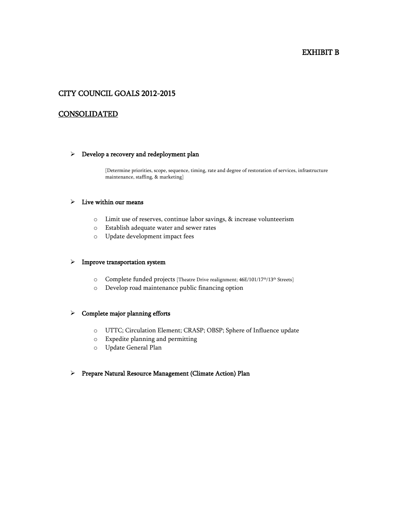#### EXHIBIT B

#### CITY COUNCIL GOALS 2012-2015

#### **CONSOLIDATED**

#### $\triangleright$  Develop a recovery and redeployment plan

[Determine priorities, scope, sequence, timing, rate and degree of restoration of services, infrastructure maintenance, staffing, & marketing]

#### $\triangleright$  Live within our means

- o Limit use of reserves, continue labor savings, & increase volunteerism
- o Establish adequate water and sewer rates
- o Update development impact fees

#### $\triangleright$  Improve transportation system

- O Complete funded projects [Theatre Drive realignment; 46E/101/17<sup>th</sup>/13<sup>th</sup> Streets]
- o Develop road maintenance public financing option

#### $\triangleright$  Complete major planning efforts

- o UTTC; Circulation Element; CRASP; OBSP; Sphere of Influence update
- o Expedite planning and permitting
- o Update General Plan

#### $\triangleright$  Prepare Natural Resource Management (Climate Action) Plan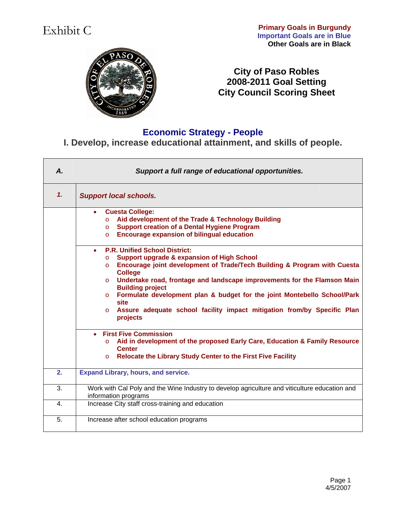# Exhibit C

**Primary Goals in Burgundy Important Goals are in Blue Other Goals are in Black** 



**City of Paso Robles 2008-2011 Goal Setting City Council Scoring Sheet** 

## **Economic Strategy - People**

**I. Develop, increase educational attainment, and skills of people.** 

| $\mathbf{A}$   | Support a full range of educational opportunities.                                                                                                                                                                                                                                                                                                                                                                                                                                                                                                                                                                                                                                                                                                                                  |
|----------------|-------------------------------------------------------------------------------------------------------------------------------------------------------------------------------------------------------------------------------------------------------------------------------------------------------------------------------------------------------------------------------------------------------------------------------------------------------------------------------------------------------------------------------------------------------------------------------------------------------------------------------------------------------------------------------------------------------------------------------------------------------------------------------------|
| $\mathbf{1}$   | <b>Support local schools.</b>                                                                                                                                                                                                                                                                                                                                                                                                                                                                                                                                                                                                                                                                                                                                                       |
|                | <b>Cuesta College:</b><br>$\bullet$<br>Aid development of the Trade & Technology Building<br>$\circ$<br><b>Support creation of a Dental Hygiene Program</b><br>$\circ$<br><b>Encourage expansion of bilingual education</b><br>$\circ$<br><b>P.R. Unified School District:</b><br>$\bullet$<br><b>Support upgrade &amp; expansion of High School</b><br>$\Omega$<br>Encourage joint development of Trade/Tech Building & Program with Cuesta<br>$\circ$<br><b>College</b><br>o Undertake road, frontage and landscape improvements for the Flamson Main<br><b>Building project</b><br>Formulate development plan & budget for the joint Montebello School/Park<br>$\circ$<br>site<br>Assure adequate school facility impact mitigation from/by Specific Plan<br>$\circ$<br>projects |
|                | • First Five Commission<br>Aid in development of the proposed Early Care, Education & Family Resource<br>$\circ$<br><b>Center</b><br><b>Relocate the Library Study Center to the First Five Facility</b><br>$\circ$                                                                                                                                                                                                                                                                                                                                                                                                                                                                                                                                                                 |
| 2.             | <b>Expand Library, hours, and service.</b>                                                                                                                                                                                                                                                                                                                                                                                                                                                                                                                                                                                                                                                                                                                                          |
| 3.             | Work with Cal Poly and the Wine Industry to develop agriculture and viticulture education and<br>information programs                                                                                                                                                                                                                                                                                                                                                                                                                                                                                                                                                                                                                                                               |
| $\mathbf{4}$ . | Increase City staff cross-training and education                                                                                                                                                                                                                                                                                                                                                                                                                                                                                                                                                                                                                                                                                                                                    |
| 5.             | Increase after school education programs                                                                                                                                                                                                                                                                                                                                                                                                                                                                                                                                                                                                                                                                                                                                            |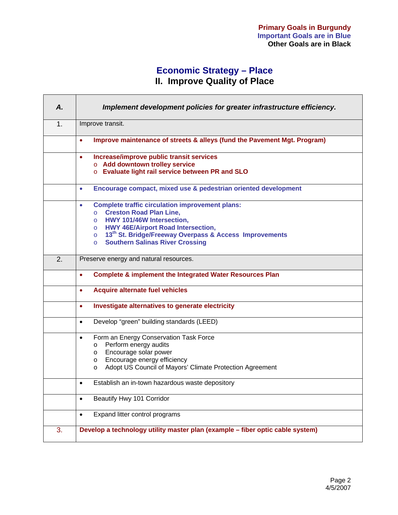# **Economic Strategy – Place**

**II. Improve Quality of Place** 

| А.            | Implement development policies for greater infrastructure efficiency.                                                                                                                                                                                                                                                             |
|---------------|-----------------------------------------------------------------------------------------------------------------------------------------------------------------------------------------------------------------------------------------------------------------------------------------------------------------------------------|
| $\mathbf 1$ . | Improve transit.                                                                                                                                                                                                                                                                                                                  |
|               | Improve maintenance of streets & alleys (fund the Pavement Mgt. Program)<br>$\bullet$                                                                                                                                                                                                                                             |
|               | Increase/improve public transit services<br>۰<br>○ Add downtown trolley service<br>o Evaluate light rail service between PR and SLO                                                                                                                                                                                               |
|               | Encourage compact, mixed use & pedestrian oriented development<br>۰                                                                                                                                                                                                                                                               |
|               | <b>Complete traffic circulation improvement plans:</b><br>$\bullet$<br><b>Creston Road Plan Line,</b><br>$\overline{O}$<br>HWY 101/46W Intersection,<br>$\circ$<br>o HWY 46E/Airport Road Intersection,<br>13th St. Bridge/Freeway Overpass & Access Improvements<br>$\circ$<br><b>Southern Salinas River Crossing</b><br>$\circ$ |
| 2.            | Preserve energy and natural resources.                                                                                                                                                                                                                                                                                            |
|               | <b>Complete &amp; implement the Integrated Water Resources Plan</b><br>$\bullet$                                                                                                                                                                                                                                                  |
|               | <b>Acquire alternate fuel vehicles</b><br>$\bullet$                                                                                                                                                                                                                                                                               |
|               | Investigate alternatives to generate electricity<br>$\bullet$                                                                                                                                                                                                                                                                     |
|               | Develop "green" building standards (LEED)<br>$\bullet$                                                                                                                                                                                                                                                                            |
|               | Form an Energy Conservation Task Force<br>$\bullet$<br>Perform energy audits<br>O<br>Encourage solar power<br>$\circ$<br>Encourage energy efficiency<br>$\circ$<br>Adopt US Council of Mayors' Climate Protection Agreement<br>$\circ$                                                                                            |
|               | Establish an in-town hazardous waste depository<br>$\bullet$                                                                                                                                                                                                                                                                      |
|               | Beautify Hwy 101 Corridor<br>$\bullet$                                                                                                                                                                                                                                                                                            |
|               | Expand litter control programs<br>$\bullet$                                                                                                                                                                                                                                                                                       |
| 3.            | Develop a technology utility master plan (example - fiber optic cable system)                                                                                                                                                                                                                                                     |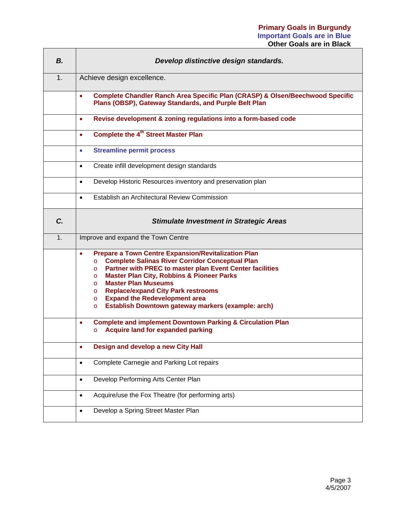| <b>B.</b>      | Develop distinctive design standards.                                                                                                                                                                                                                                                                                                                                                                                                                                                                       |
|----------------|-------------------------------------------------------------------------------------------------------------------------------------------------------------------------------------------------------------------------------------------------------------------------------------------------------------------------------------------------------------------------------------------------------------------------------------------------------------------------------------------------------------|
| 1.             | Achieve design excellence.                                                                                                                                                                                                                                                                                                                                                                                                                                                                                  |
|                | <b>Complete Chandler Ranch Area Specific Plan (CRASP) &amp; Olsen/Beechwood Specific</b><br>٠<br>Plans (OBSP), Gateway Standards, and Purple Belt Plan                                                                                                                                                                                                                                                                                                                                                      |
|                | Revise development & zoning regulations into a form-based code<br>$\bullet$                                                                                                                                                                                                                                                                                                                                                                                                                                 |
|                | <b>Complete the 4th Street Master Plan</b><br>٠                                                                                                                                                                                                                                                                                                                                                                                                                                                             |
|                | <b>Streamline permit process</b><br>$\bullet$                                                                                                                                                                                                                                                                                                                                                                                                                                                               |
|                | Create infill development design standards<br>$\bullet$                                                                                                                                                                                                                                                                                                                                                                                                                                                     |
|                | Develop Historic Resources inventory and preservation plan<br>$\bullet$                                                                                                                                                                                                                                                                                                                                                                                                                                     |
|                | Establish an Architectural Review Commission<br>$\bullet$                                                                                                                                                                                                                                                                                                                                                                                                                                                   |
| C.             | <b>Stimulate Investment in Strategic Areas</b>                                                                                                                                                                                                                                                                                                                                                                                                                                                              |
| $\mathbf{1}$ . | Improve and expand the Town Centre                                                                                                                                                                                                                                                                                                                                                                                                                                                                          |
|                | <b>Prepare a Town Centre Expansion/Revitalization Plan</b><br>$\bullet$<br><b>Complete Salinas River Corridor Conceptual Plan</b><br>$\circ$<br>Partner with PREC to master plan Event Center facilities<br>$\circ$<br><b>Master Plan City, Robbins &amp; Pioneer Parks</b><br>$\circ$<br><b>Master Plan Museums</b><br>$\circ$<br><b>Replace/expand City Park restrooms</b><br>$\circ$<br><b>Expand the Redevelopment area</b><br>$\circ$<br>Establish Downtown gateway markers (example: arch)<br>$\circ$ |
|                | <b>Complete and implement Downtown Parking &amp; Circulation Plan</b><br>$\bullet$<br><b>Acquire land for expanded parking</b><br>$\circ$                                                                                                                                                                                                                                                                                                                                                                   |
|                | Design and develop a new City Hall                                                                                                                                                                                                                                                                                                                                                                                                                                                                          |
|                | Complete Carnegie and Parking Lot repairs<br>$\bullet$                                                                                                                                                                                                                                                                                                                                                                                                                                                      |
|                | Develop Performing Arts Center Plan<br>$\bullet$                                                                                                                                                                                                                                                                                                                                                                                                                                                            |
|                | Acquire/use the Fox Theatre (for performing arts)<br>$\bullet$                                                                                                                                                                                                                                                                                                                                                                                                                                              |
|                | Develop a Spring Street Master Plan<br>$\bullet$                                                                                                                                                                                                                                                                                                                                                                                                                                                            |

**r**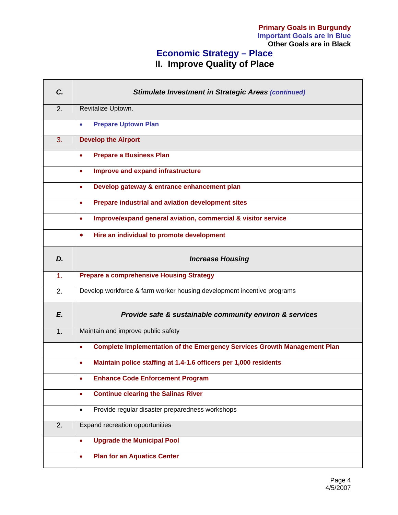| C.             | <b>Stimulate Investment in Strategic Areas (continued)</b>                                   |
|----------------|----------------------------------------------------------------------------------------------|
| 2.             | Revitalize Uptown.                                                                           |
|                | <b>Prepare Uptown Plan</b><br>$\bullet$                                                      |
| 3.             | <b>Develop the Airport</b>                                                                   |
|                | <b>Prepare a Business Plan</b><br>$\bullet$                                                  |
|                | Improve and expand infrastructure<br>$\bullet$                                               |
|                | Develop gateway & entrance enhancement plan<br>$\bullet$                                     |
|                | Prepare industrial and aviation development sites<br>$\bullet$                               |
|                | Improve/expand general aviation, commercial & visitor service<br>۰                           |
|                | Hire an individual to promote development<br>٠                                               |
| D.             | <b>Increase Housing</b>                                                                      |
| 1 <sub>1</sub> | <b>Prepare a comprehensive Housing Strategy</b>                                              |
| 2.             | Develop workforce & farm worker housing development incentive programs                       |
| E.             | Provide safe & sustainable community environ & services                                      |
| 1.             | Maintain and improve public safety                                                           |
|                | <b>Complete Implementation of the Emergency Services Growth Management Plan</b><br>$\bullet$ |
|                | Maintain police staffing at 1.4-1.6 officers per 1,000 residents<br>$\bullet$                |
|                | <b>Enhance Code Enforcement Program</b><br>٠                                                 |
|                | <b>Continue clearing the Salinas River</b><br>$\bullet$                                      |
|                | Provide regular disaster preparedness workshops<br>$\bullet$                                 |
| 2.             | Expand recreation opportunities                                                              |
|                | <b>Upgrade the Municipal Pool</b><br>$\bullet$                                               |
|                | <b>Plan for an Aquatics Center</b><br>$\bullet$                                              |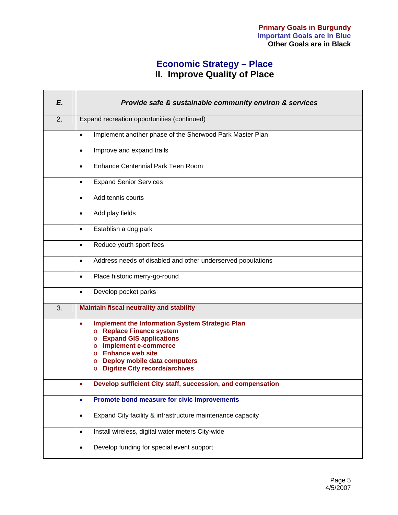| E. | Provide safe & sustainable community environ & services                                                                                                                                                                                                           |
|----|-------------------------------------------------------------------------------------------------------------------------------------------------------------------------------------------------------------------------------------------------------------------|
| 2. | Expand recreation opportunities (continued)                                                                                                                                                                                                                       |
|    | Implement another phase of the Sherwood Park Master Plan<br>$\bullet$                                                                                                                                                                                             |
|    | Improve and expand trails<br>$\bullet$                                                                                                                                                                                                                            |
|    | Enhance Centennial Park Teen Room<br>$\bullet$                                                                                                                                                                                                                    |
|    | <b>Expand Senior Services</b><br>$\bullet$                                                                                                                                                                                                                        |
|    | Add tennis courts<br>$\bullet$                                                                                                                                                                                                                                    |
|    | Add play fields<br>$\bullet$                                                                                                                                                                                                                                      |
|    | Establish a dog park<br>$\bullet$                                                                                                                                                                                                                                 |
|    | Reduce youth sport fees<br>$\bullet$                                                                                                                                                                                                                              |
|    | Address needs of disabled and other underserved populations<br>$\bullet$                                                                                                                                                                                          |
|    | Place historic merry-go-round<br>$\bullet$                                                                                                                                                                                                                        |
|    | Develop pocket parks<br>$\bullet$                                                                                                                                                                                                                                 |
| 3. | <b>Maintain fiscal neutrality and stability</b>                                                                                                                                                                                                                   |
|    | <b>Implement the Information System Strategic Plan</b><br>٠<br>o Replace Finance system<br>o Expand GIS applications<br><b>Implement e-commerce</b><br>$\circ$<br><b>o</b> Enhance web site<br>o Deploy mobile data computers<br>o Digitize City records/archives |
|    | Develop sufficient City staff, succession, and compensation                                                                                                                                                                                                       |
|    | <b>Promote bond measure for civic improvements</b><br>$\bullet$                                                                                                                                                                                                   |
|    | Expand City facility & infrastructure maintenance capacity<br>$\bullet$                                                                                                                                                                                           |
|    | Install wireless, digital water meters City-wide<br>$\bullet$                                                                                                                                                                                                     |
|    | Develop funding for special event support<br>$\bullet$                                                                                                                                                                                                            |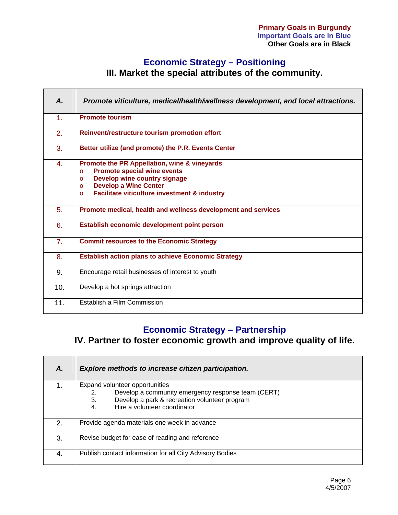# **Economic Strategy – Positioning III. Market the special attributes of the community.**

| Α.               | Promote viticulture, medical/health/wellness development, and local attractions.                                                                                                                                                                            |
|------------------|-------------------------------------------------------------------------------------------------------------------------------------------------------------------------------------------------------------------------------------------------------------|
| 1 <sub>1</sub>   | <b>Promote tourism</b>                                                                                                                                                                                                                                      |
| 2.               | Reinvent/restructure tourism promotion effort                                                                                                                                                                                                               |
| 3.               | Better utilize (and promote) the P.R. Events Center                                                                                                                                                                                                         |
| 4.               | Promote the PR Appellation, wine & vineyards<br><b>Promote special wine events</b><br>$\circ$<br>Develop wine country signage<br>$\Omega$<br><b>Develop a Wine Center</b><br>$\Omega$<br><b>Facilitate viticulture investment &amp; industry</b><br>$\circ$ |
| 5.               | Promote medical, health and wellness development and services                                                                                                                                                                                               |
| 6.               | Establish economic development point person                                                                                                                                                                                                                 |
| $\overline{7}$ . | <b>Commit resources to the Economic Strategy</b>                                                                                                                                                                                                            |
| 8.               | <b>Establish action plans to achieve Economic Strategy</b>                                                                                                                                                                                                  |
| 9.               | Encourage retail businesses of interest to youth                                                                                                                                                                                                            |
| 10.              | Develop a hot springs attraction                                                                                                                                                                                                                            |
| 11.              | Establish a Film Commission                                                                                                                                                                                                                                 |

# **Economic Strategy – Partnership**

**IV. Partner to foster economic growth and improve quality of life.** 

| Α.          | Explore methods to increase citizen participation.                                                                                                                                      |
|-------------|-----------------------------------------------------------------------------------------------------------------------------------------------------------------------------------------|
|             | Expand volunteer opportunities<br>Develop a community emergency response team (CERT)<br>2.<br>3.<br>Develop a park & recreation volunteer program<br>Hire a volunteer coordinator<br>4. |
| $2^{\circ}$ | Provide agenda materials one week in advance                                                                                                                                            |
| 3.          | Revise budget for ease of reading and reference                                                                                                                                         |
| 4.          | Publish contact information for all City Advisory Bodies                                                                                                                                |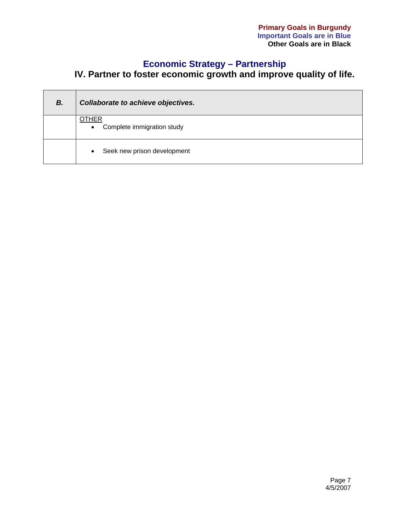## **Economic Strategy – Partnership**

### **IV. Partner to foster economic growth and improve quality of life.**

| В. | Collaborate to achieve objectives.                      |
|----|---------------------------------------------------------|
|    | <b>OTHER</b><br>Complete immigration study<br>$\bullet$ |
|    | Seek new prison development<br>$\bullet$                |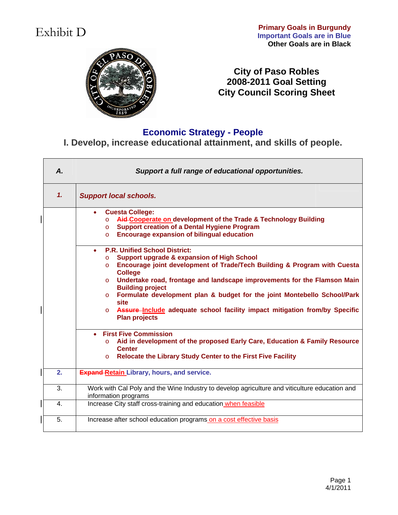# Exhibit D

**Primary Goals in Burgundy Important Goals are in Blue Other Goals are in Black** 



**City of Paso Robles 2008-2011 Goal Setting City Council Scoring Sheet** 

## **Economic Strategy - People**

**I. Develop, increase educational attainment, and skills of people.** 

| Α.             | Support a full range of educational opportunities.                                                                                                                                                                                                                                                                                                                                                                                                                                                                                                                |
|----------------|-------------------------------------------------------------------------------------------------------------------------------------------------------------------------------------------------------------------------------------------------------------------------------------------------------------------------------------------------------------------------------------------------------------------------------------------------------------------------------------------------------------------------------------------------------------------|
| $\mathbf{1}$   | <b>Support local schools.</b>                                                                                                                                                                                                                                                                                                                                                                                                                                                                                                                                     |
|                | <b>Cuesta College:</b><br>۰<br>Aid-Cooperate on development of the Trade & Technology Building<br>$\circ$<br><b>Support creation of a Dental Hygiene Program</b><br>$\circ$<br><b>Encourage expansion of bilingual education</b><br>$\circ$                                                                                                                                                                                                                                                                                                                       |
|                | <b>P.R. Unified School District:</b><br>$\bullet$<br><b>Support upgrade &amp; expansion of High School</b><br>$\circ$<br>Encourage joint development of Trade/Tech Building & Program with Cuesta<br>$\circ$<br><b>College</b><br>Undertake road, frontage and landscape improvements for the Flamson Main<br>$\circ$<br><b>Building project</b><br>Formulate development plan & budget for the joint Montebello School/Park<br>$\circ$<br>site<br>Assure-Include adequate school facility impact mitigation from/by Specific<br>$\Omega$<br><b>Plan projects</b> |
|                | • First Five Commission<br>Aid in development of the proposed Early Care, Education & Family Resource<br>$\circ$<br><b>Center</b><br>Relocate the Library Study Center to the First Five Facility<br>$\circ$                                                                                                                                                                                                                                                                                                                                                      |
| 2.             | <b>Expand-Retain Library, hours, and service.</b>                                                                                                                                                                                                                                                                                                                                                                                                                                                                                                                 |
| 3.             | Work with Cal Poly and the Wine Industry to develop agriculture and viticulture education and<br>information programs                                                                                                                                                                                                                                                                                                                                                                                                                                             |
| $\mathbf{4}$ . | Increase City staff cross-training and education when feasible                                                                                                                                                                                                                                                                                                                                                                                                                                                                                                    |
| 5.             | Increase after school education programs on a cost effective basis                                                                                                                                                                                                                                                                                                                                                                                                                                                                                                |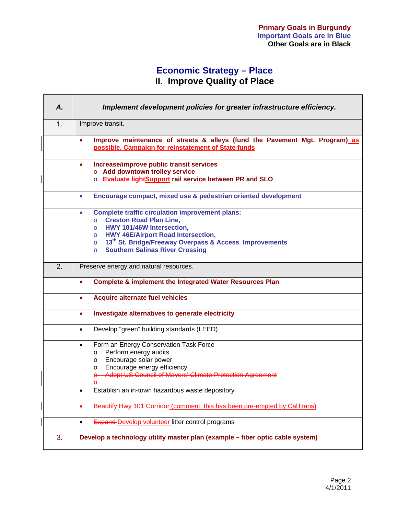| А.             | Implement development policies for greater infrastructure efficiency.                                                                                                                                                                                                                                                       |
|----------------|-----------------------------------------------------------------------------------------------------------------------------------------------------------------------------------------------------------------------------------------------------------------------------------------------------------------------------|
| $\mathbf{1}$ . | Improve transit.                                                                                                                                                                                                                                                                                                            |
|                | Improve maintenance of streets & alleys (fund the Pavement Mgt. Program) as<br>$\bullet$<br>possible. Campaign for reinstatement of State funds                                                                                                                                                                             |
|                | Increase/improve public transit services<br>$\bullet$<br>o Add downtown trolley service<br>o Evaluate lightSupport rail service between PR and SLO                                                                                                                                                                          |
|                | Encourage compact, mixed use & pedestrian oriented development<br>$\bullet$                                                                                                                                                                                                                                                 |
|                | <b>Complete traffic circulation improvement plans:</b><br>$\bullet$<br><b>Creston Road Plan Line,</b><br>$\circ$<br>o HWY 101/46W Intersection,<br>o HWY 46E/Airport Road Intersection,<br>$\circ$ 13 <sup>th</sup> St. Bridge/Freeway Overpass & Access Improvements<br><b>Southern Salinas River Crossing</b><br>$\Omega$ |
| 2.             | Preserve energy and natural resources.                                                                                                                                                                                                                                                                                      |
|                | <b>Complete &amp; implement the Integrated Water Resources Plan</b><br>$\bullet$                                                                                                                                                                                                                                            |
|                | <b>Acquire alternate fuel vehicles</b><br>$\bullet$                                                                                                                                                                                                                                                                         |
|                | Investigate alternatives to generate electricity<br>$\bullet$                                                                                                                                                                                                                                                               |
|                | Develop "green" building standards (LEED)<br>$\bullet$                                                                                                                                                                                                                                                                      |
|                | Form an Energy Conservation Task Force<br>$\bullet$<br>Perform energy audits<br>$\circ$<br>Encourage solar power<br>$\circ$<br>Encourage energy efficiency<br>$\circ$<br><b>Adopt US Council of Mayors' Climate Protection Agreement</b><br>$\Theta$                                                                        |
|                | Establish an in-town hazardous waste depository<br>$\bullet$                                                                                                                                                                                                                                                                |
|                | Beautify Hwy 101 Corridor (comment: this has been pre-empted by CalTrans)                                                                                                                                                                                                                                                   |
|                | <b>Expand-Develop volunteer litter control programs</b><br>$\bullet$                                                                                                                                                                                                                                                        |
| 3.             | Develop a technology utility master plan (example - fiber optic cable system)                                                                                                                                                                                                                                               |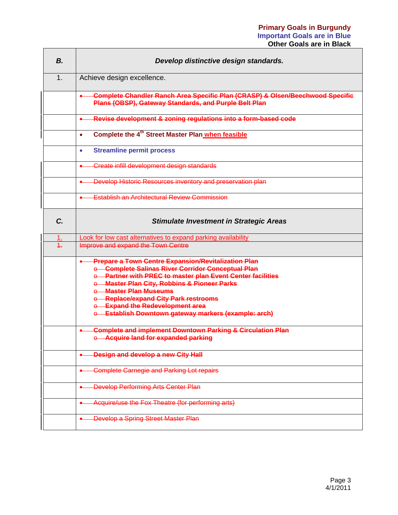| В.         | Develop distinctive design standards.                                                                                                                                                                                                                                                                                                                                                    |
|------------|------------------------------------------------------------------------------------------------------------------------------------------------------------------------------------------------------------------------------------------------------------------------------------------------------------------------------------------------------------------------------------------|
| 1.         | Achieve design excellence.                                                                                                                                                                                                                                                                                                                                                               |
|            | <b>Complete Chandler Ranch Area Specific Plan (CRASP) &amp; Olsen/Beechwood Specific</b><br>Plans (OBSP), Gateway Standards, and Purple Belt Plan                                                                                                                                                                                                                                        |
|            | Revise development & zoning regulations into a form-based code                                                                                                                                                                                                                                                                                                                           |
|            | Complete the 4 <sup>th</sup> Street Master Plan when feasible                                                                                                                                                                                                                                                                                                                            |
|            | <b>Streamline permit process</b><br>$\bullet$                                                                                                                                                                                                                                                                                                                                            |
|            | Create infill development design standards                                                                                                                                                                                                                                                                                                                                               |
|            | Develop Historic Resources inventory and preservation plan                                                                                                                                                                                                                                                                                                                               |
|            | Establish an Architectural Review Commission                                                                                                                                                                                                                                                                                                                                             |
| C.         | <b>Stimulate Investment in Strategic Areas</b>                                                                                                                                                                                                                                                                                                                                           |
| 1.         | Look for low cast alternatives to expand parking availability                                                                                                                                                                                                                                                                                                                            |
| $\ddagger$ | Improve and expand the Town Centre                                                                                                                                                                                                                                                                                                                                                       |
|            | <b>Prepare a Town Centre Expansion/Revitalization Plan</b><br>e Complete Salinas River Corridor Conceptual Plan<br>⊖ Partner with PREC to master plan Event Center facilities<br>e Master Plan City, Robbins & Pioneer Parks<br>e Master Plan Museums<br>e Replace/expand City Park restrooms<br>e Expand the Redevelopment area<br>e Establish Downtown gateway markers (example: arch) |
|            | <b>Complete and implement Downtown Parking &amp; Circulation Plan</b><br><b>E</b> Acquire land for expanded parking                                                                                                                                                                                                                                                                      |
|            | <b>Design and develop a new City Hall</b>                                                                                                                                                                                                                                                                                                                                                |
|            | Complete Carnegie and Parking Lot repairs                                                                                                                                                                                                                                                                                                                                                |
|            | <b>Develop Performing Arts Center Plan</b>                                                                                                                                                                                                                                                                                                                                               |
|            | Acquire/use the Fox Theatre (for performing arts)                                                                                                                                                                                                                                                                                                                                        |
|            | Develop a Spring Street Master Plan                                                                                                                                                                                                                                                                                                                                                      |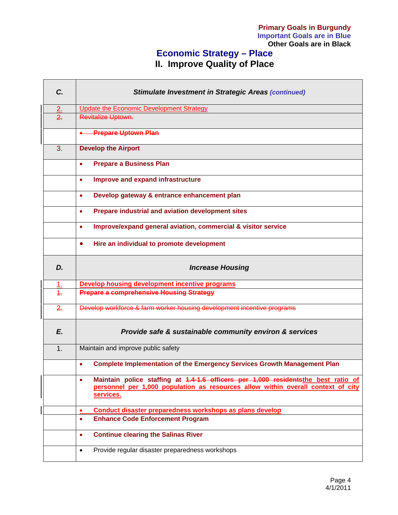# **Economic Strategy – Place**

**II. Improve Quality of Place** 

| C.             | <b>Stimulate Investment in Strategic Areas (continued)</b>                                                                                                                                       |
|----------------|--------------------------------------------------------------------------------------------------------------------------------------------------------------------------------------------------|
| 2.             | <b>Update the Economic Development Strategy</b>                                                                                                                                                  |
| $\overline{2}$ | <b>Revitalize Uptown.</b>                                                                                                                                                                        |
|                | <b>Prepare Uptown Plan</b>                                                                                                                                                                       |
| 3.             | <b>Develop the Airport</b>                                                                                                                                                                       |
|                | <b>Prepare a Business Plan</b><br>$\bullet$                                                                                                                                                      |
|                | Improve and expand infrastructure<br>$\bullet$                                                                                                                                                   |
|                | Develop gateway & entrance enhancement plan<br>$\bullet$                                                                                                                                         |
|                | Prepare industrial and aviation development sites<br>$\bullet$                                                                                                                                   |
|                | Improve/expand general aviation, commercial & visitor service<br>$\bullet$                                                                                                                       |
|                | Hire an individual to promote development<br>$\bullet$                                                                                                                                           |
| D.             | <b>Increase Housing</b>                                                                                                                                                                          |
| 1.             | Develop housing development incentive programs                                                                                                                                                   |
| $\ddagger$     | <b>Prepare a comprehensive Housing Strategy</b>                                                                                                                                                  |
| 2.             | Develop workforce & farm worker housing development incentive programs                                                                                                                           |
| E.             | Provide safe & sustainable community environ & services                                                                                                                                          |
| 1.             | Maintain and improve public safety                                                                                                                                                               |
|                | <b>Complete Implementation of the Emergency Services Growth Management Plan</b>                                                                                                                  |
|                | Maintain police staffing at 1.4-1.6 officers per 1,000 residents the best ratio of<br>$\bullet$<br>personnel per 1,000 population as resources allow within overall context of city<br>services. |
|                | Conduct disaster preparedness workshops as plans develop                                                                                                                                         |
|                | <b>Enhance Code Enforcement Program</b><br>$\bullet$                                                                                                                                             |
|                | <b>Continue clearing the Salinas River</b><br>$\bullet$                                                                                                                                          |
|                | Provide regular disaster preparedness workshops<br>$\bullet$                                                                                                                                     |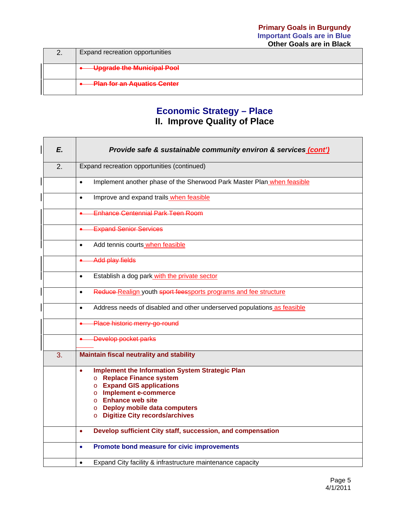| Expand recreation opportunities    |
|------------------------------------|
| <b>Upgrade the Municipal Pool</b>  |
| <b>Plan for an Aquatics Center</b> |

| E. | Provide safe & sustainable community environ & services (cont')                                                                                                                                                                                                      |
|----|----------------------------------------------------------------------------------------------------------------------------------------------------------------------------------------------------------------------------------------------------------------------|
| 2. | Expand recreation opportunities (continued)                                                                                                                                                                                                                          |
|    | Implement another phase of the Sherwood Park Master Plan when feasible<br>$\bullet$                                                                                                                                                                                  |
|    | Improve and expand trails when feasible<br>$\bullet$                                                                                                                                                                                                                 |
|    | <b>Enhance Centennial Park Teen Room</b>                                                                                                                                                                                                                             |
|    | <b>Expand Senior Services</b>                                                                                                                                                                                                                                        |
|    | Add tennis courts when feasible<br>$\bullet$                                                                                                                                                                                                                         |
|    | <b>Add play fields</b>                                                                                                                                                                                                                                               |
|    | Establish a dog park with the private sector<br>$\bullet$                                                                                                                                                                                                            |
|    | Reduce Realign youth sport feessports programs and fee structure<br>$\bullet$                                                                                                                                                                                        |
|    | Address needs of disabled and other underserved populations as feasible<br>$\bullet$                                                                                                                                                                                 |
|    | Place historic merry-go-round                                                                                                                                                                                                                                        |
|    | Develop pocket parks                                                                                                                                                                                                                                                 |
| 3. | <b>Maintain fiscal neutrality and stability</b>                                                                                                                                                                                                                      |
|    | <b>Implement the Information System Strategic Plan</b><br>$\bullet$<br>o Replace Finance system<br>$\circ$ Expand GIS applications<br>o Implement e-commerce<br>$\circ$ Enhance web site<br>$\circ$ Deploy mobile data computers<br>o Digitize City records/archives |
|    | Develop sufficient City staff, succession, and compensation<br>$\bullet$                                                                                                                                                                                             |
|    | Promote bond measure for civic improvements<br>$\bullet$                                                                                                                                                                                                             |
|    | Expand City facility & infrastructure maintenance capacity<br>$\bullet$                                                                                                                                                                                              |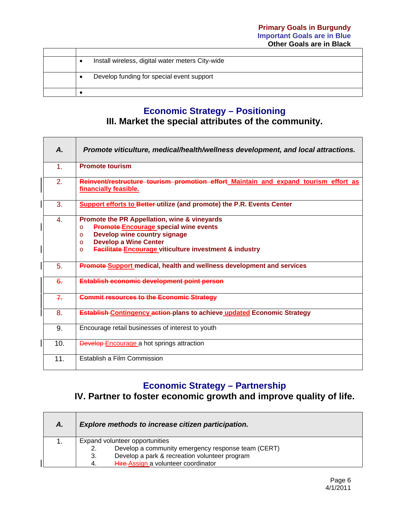|  | Install wireless, digital water meters City-wide |
|--|--------------------------------------------------|
|  | Develop funding for special event support        |
|  |                                                  |

### **Economic Strategy – Positioning III. Market the special attributes of the community.**

| Α.            | Promote viticulture, medical/health/wellness development, and local attractions.                                                                                                                                                                                                 |
|---------------|----------------------------------------------------------------------------------------------------------------------------------------------------------------------------------------------------------------------------------------------------------------------------------|
| $\mathbf 1$ . | <b>Promote tourism</b>                                                                                                                                                                                                                                                           |
| 2.            | Reinvent/restructure tourism promotion effort Maintain and expand tourism effort as<br>financially feasible.                                                                                                                                                                     |
| 3.            | Support efforts to Better-utilize (and promote) the P.R. Events Center                                                                                                                                                                                                           |
| 4.            | Promote the PR Appellation, wine & vineyards<br><b>Promote Encourage special wine events</b><br>$\circ$<br>Develop wine country signage<br>$\Omega$<br><b>Develop a Wine Center</b><br>$\Omega$<br><b>Facilitate Encourage viticulture investment &amp; industry</b><br>$\Omega$ |
| 5.            | Promote Support medical, health and wellness development and services                                                                                                                                                                                                            |
| $6 -$         | Establish economic development point person                                                                                                                                                                                                                                      |
| 7.            | <b>Commit resources to the Economic Strategy</b>                                                                                                                                                                                                                                 |
| 8.            | <b>Establish-Contingency action-plans to achieve updated Economic Strategy</b>                                                                                                                                                                                                   |
| 9.            | Encourage retail businesses of interest to youth                                                                                                                                                                                                                                 |
| 10.           | <b>Develop-Encourage a hot springs attraction</b>                                                                                                                                                                                                                                |
| 11.           | Establish a Film Commission                                                                                                                                                                                                                                                      |

# **Economic Strategy – Partnership**

**IV. Partner to foster economic growth and improve quality of life.** 

| А. | Explore methods to increase citizen participation.  |
|----|-----------------------------------------------------|
|    | Expand volunteer opportunities                      |
|    | Develop a community emergency response team (CERT)  |
|    | Develop a park & recreation volunteer program<br>3. |
|    | Hire-Assign a volunteer coordinator                 |

 $\overline{\phantom{a}}$